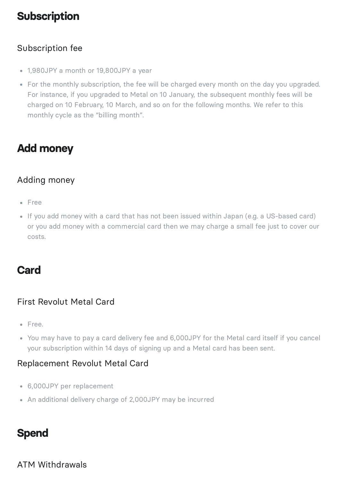# **Subscription**

#### Subscription fee

- 1,980JPY a month or 19,800JPY a year
- For the monthly subscription, the fee will be charged every month on the day you upgraded. For instance, if you upgraded to Metal on 10 January, the subsequent monthly fees will be charged on 10 February, 10 March, and so on for the following months. We refer to this monthly cycle as the "billing month".

# **Add money**

### Adding money

- Free
- If you add money with a card that has not been issued within Japan (e.g. a US-based card) or you add money with a commercial card then we may charge a small fee just to cover our costs.

# **Card**

#### First Revolut Metal Card

- Free.
- You may have to pay a card delivery fee and 6,000JPY for the Metal card itself if you cancel your subscription within 14 days of signing up and a Metal card has been sent.

#### Replacement Revolut Metal Card

- 6,000JPY per replacement
- An additional delivery charge of 2,000JPY may be incurred

# **Spend**

#### ATM Withdrawals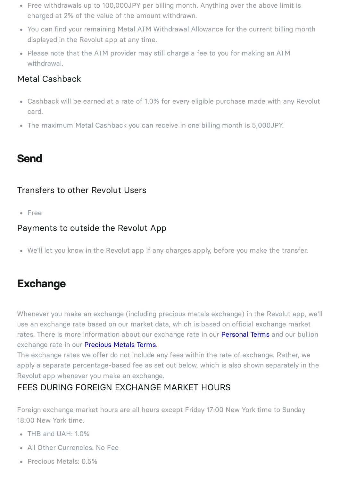- Free withdrawals up to 100,000JPY per billing month. Anything over the above limit is charged at 2% of the value of the amount withdrawn.
- You can find your remaining Metal ATM Withdrawal Allowance for the current billing month displayed in the Revolut app at any time.
- Please note that the ATM provider may still charge a fee to you for making an ATM withdrawal.

### Metal Cashback

- Cashback will be earned at a rate of 1.0% for every eligible purchase made with any Revolut card.
- The maximum Metal Cashback you can receive in one billing month is 5,000JPY.

## **Send**

#### Transfers to other Revolut Users

• Free

#### Payments to outside the Revolut App

We'll let you know in the Revolut app if any charges apply, before you make the transfer.

# **Exchange**

Whenever you make an exchange (including precious metals exchange) in the Revolut app, we'll use an exchange rate based on our market data, which is based on official exchange market rates. There is more information about our exchange rate in our **[Personal](https://www.revolut.com/en-JP/legal/terms) Terms** and our bullion exchange rate in our **[Precious](https://www.revolut.com/en-JP/legal/precious-metals) Metals Terms**.

The exchange rates we offer do not include any fees within the rate of exchange. Rather, we apply a separate percentage-based fee as set out below, which is also shown separately in the Revolut app whenever you make an exchange.

### FEES DURING FOREIGN EXCHANGE MARKET HOURS

Foreign exchange market hours are all hours except Friday 17:00 New York time to Sunday 18:00 New York time.

- THB and UAH: 1.0%
- All Other Currencies: No Fee
- Precious Metals: 0.5%